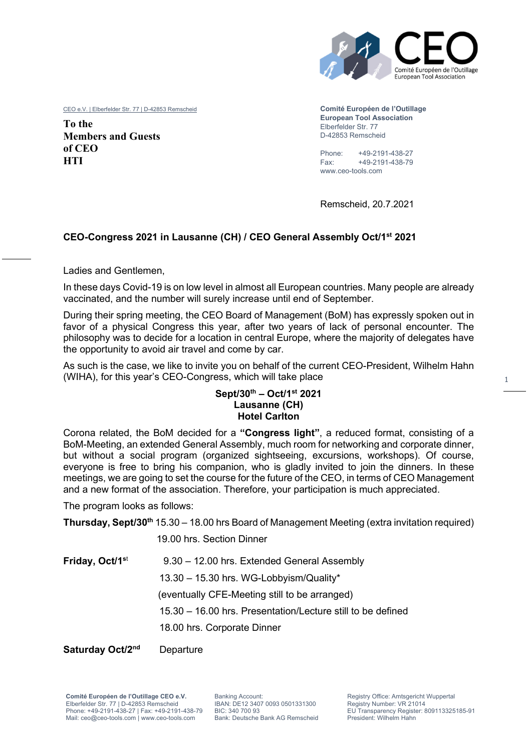

CEO e.V. | Elberfelder Str. 77 | D-42853 Remscheid

**To the Members and Guests of CEO HTI** 

**Comité Européen de l'Outillage European Tool Association** Elberfelder Str. 77 D-42853 Remscheid

Phone: +49-2191-438-27 Fax: +49-2191-438-79 www.ceo-tools.com

Remscheid, 20.7.2021

#### **CEO-Congress 2021 in Lausanne (CH) / CEO General Assembly Oct/1st 2021**

Ladies and Gentlemen,

In these days Covid-19 is on low level in almost all European countries. Many people are already vaccinated, and the number will surely increase until end of September.

During their spring meeting, the CEO Board of Management (BoM) has expressly spoken out in favor of a physical Congress this year, after two years of lack of personal encounter. The philosophy was to decide for a location in central Europe, where the majority of delegates have the opportunity to avoid air travel and come by car.

As such is the case, we like to invite you on behalf of the current CEO-President, Wilhelm Hahn (WIHA), for this year's CEO-Congress, which will take place

#### **Sept/30th – Oct/1st 2021 Lausanne (CH) Hotel Carlton**

Corona related, the BoM decided for a **"Congress light"**, a reduced format, consisting of a BoM-Meeting, an extended General Assembly, much room for networking and corporate dinner, but without a social program (organized sightseeing, excursions, workshops). Of course, everyone is free to bring his companion, who is gladly invited to join the dinners. In these meetings, we are going to set the course for the future of the CEO, in terms of CEO Management and a new format of the association. Therefore, your participation is much appreciated.

The program looks as follows:

**Thursday, Sept/30th** 15.30 – 18.00 hrs Board of Management Meeting (extra invitation required)

19.00 hrs. Section Dinner

**Friday, Oct/1<sup>s</sup>**<sup>t</sup> 9.30 – 12.00 hrs. Extended General Assembly 13.30 – 15.30 hrs. WG-Lobbyism/Quality\* (eventually CFE-Meeting still to be arranged) 15.30 – 16.00 hrs. Presentation/Lecture still to be defined 18.00 hrs. Corporate Dinner

**Saturday Oct/2<sup>nd</sup>** Departure

**Comité Européen de l'Outillage CEO e.V.**  Elberfelder Str. 77 | D-42853 Remscheid Phone: +49-2191-438-27 | Fax: +49-2191-438-79 Mail: ceo@ceo-tools.com | www.ceo-tools.com

Banking Account: IBAN: DE12 3407 0093 0501331300 BIC: 340 700 93 Bank: Deutsche Bank AG Remscheid Registry Office: Amtsgericht Wuppertal Registry Number: VR 21014 EU Transparency Register: 809113325185-91 President: Wilhelm Hahn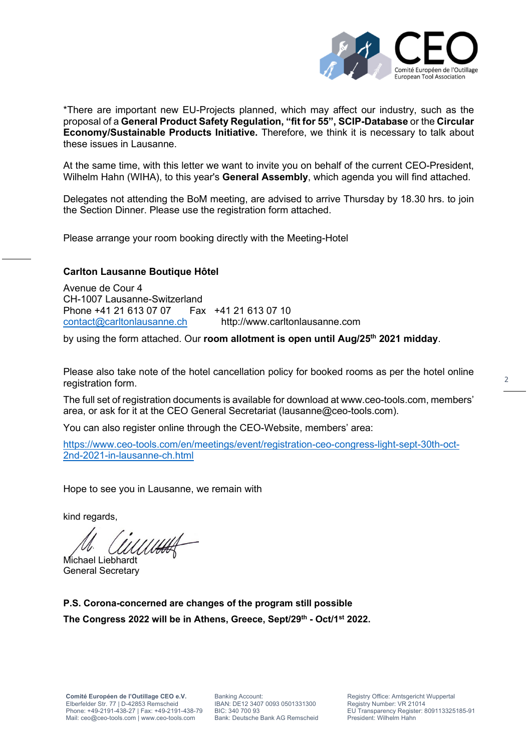

\*There are important new EU-Projects planned, which may affect our industry, such as the proposal of a **General Product Safety Regulation, "fit for 55", SCIP-Database** or the **Circular Economy/Sustainable Products Initiative.** Therefore, we think it is necessary to talk about these issues in Lausanne.

At the same time, with this letter we want to invite you on behalf of the current CEO-President, Wilhelm Hahn (WIHA), to this year's **General Assembly**, which agenda you will find attached.

Delegates not attending the BoM meeting, are advised to arrive Thursday by 18.30 hrs. to join the Section Dinner. Please use the registration form attached.

Please arrange your room booking directly with the Meeting-Hotel

#### **Carlton Lausanne Boutique Hôtel**

Avenue de Cour 4 CH-1007 Lausanne-Switzerland Phone +41 21 613 07 07 Fax +41 21 613 07 10 contact@carltonlausanne.ch http://www.carltonlausanne.com

by using the form attached. Our **room allotment is open until Aug/25th 2021 midday**.

Please also take note of the hotel cancellation policy for booked rooms as per the hotel online registration form.

The full set of registration documents is available for download at www.ceo-tools.com, members' area, or ask for it at the CEO General Secretariat (lausanne@ceo-tools.com).

You can also register online through the CEO-Website, members' area:

https://www.ceo-tools.com/en/meetings/event/registration-ceo-congress-light-sept-30th-oct-2nd-2021-in-lausanne-ch.html

Hope to see you in Lausanne, we remain with

kind regards,

Michael Liebhardt

General Secretary

**P.S. Corona-concerned are changes of the program still possible The Congress 2022 will be in Athens, Greece, Sept/29 th - Oct/1st 2022.** 

Banking Account: IBAN: DE12 3407 0093 0501331300 BIC: 340 700 93 Bank: Deutsche Bank AG Remscheid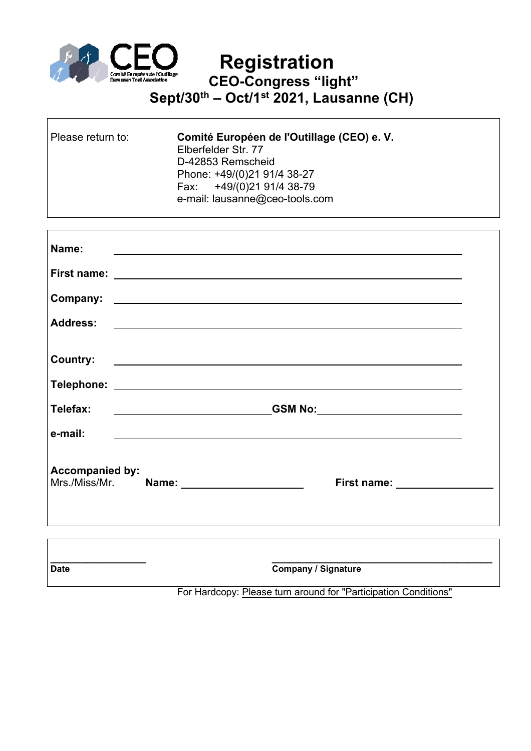

## **Registration CEO-Congress "light" Sept/30th – Oct/1st 2021, Lausanne (CH)**

| Please return to: | Comité Européen de l'Outillage (CEO) e. V.<br>Elberfelder Str. 77<br>D-42853 Remscheid<br>Phone: +49/(0)21 91/4 38-27<br>Fax: +49/(0)21 91/4 38-79<br>e-mail: lausanne@ceo-tools.com |
|-------------------|--------------------------------------------------------------------------------------------------------------------------------------------------------------------------------------|
|                   |                                                                                                                                                                                      |

| Name:                  | <u> 1989 - Jan Samuel Barbara, martin da shekara tsara 1989 - Andrea Samuel Barbara, marka 1989 - Andrea Samuel B</u> |  |
|------------------------|-----------------------------------------------------------------------------------------------------------------------|--|
|                        |                                                                                                                       |  |
|                        |                                                                                                                       |  |
|                        |                                                                                                                       |  |
| <b>Country:</b>        | <u> 1989 - Johann Stein, mars and de Brazilian (b. 1989)</u>                                                          |  |
|                        |                                                                                                                       |  |
| Telefax:               | GSM No:                                                                                                               |  |
| e-mail:                |                                                                                                                       |  |
| <b>Accompanied by:</b> | First name: _________________                                                                                         |  |
|                        |                                                                                                                       |  |

| <b>Date</b> | <b>Company / Signature</b> |
|-------------|----------------------------|

For Hardcopy: Please turn around for "Participation Conditions"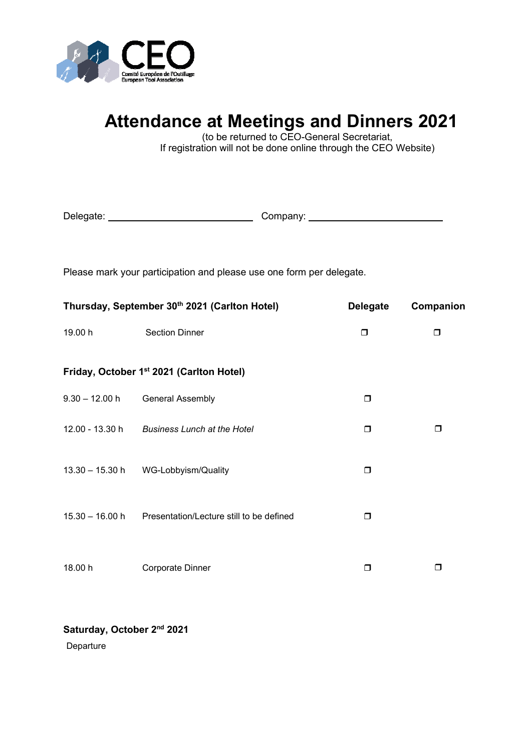

# **Attendance at Meetings and Dinners 2021**

(to be returned to CEO-General Secretariat, If registration will not be done online through the CEO Website)

| Delegate: | Company: |  |
|-----------|----------|--|
|-----------|----------|--|

Please mark your participation and please use one form per delegate.

| Thursday, September 30th 2021 (Carlton Hotel) |                                                      | <b>Delegate</b> | Companion |
|-----------------------------------------------|------------------------------------------------------|-----------------|-----------|
| 19.00 h                                       | <b>Section Dinner</b>                                | $\Box$          | $\Box$    |
|                                               | Friday, October 1 <sup>st</sup> 2021 (Carlton Hotel) |                 |           |
| $9.30 - 12.00 h$                              | <b>General Assembly</b>                              | σ               |           |
| 12.00 - 13.30 h                               | <b>Business Lunch at the Hotel</b>                   | $\Box$          | ⊓         |
|                                               | 13.30 - 15.30 h WG-Lobbyism/Quality                  | Ο               |           |
| $15.30 - 16.00 h$                             | Presentation/Lecture still to be defined             | ◘               |           |
| 18.00 h                                       | <b>Corporate Dinner</b>                              | □               | П         |

**Saturday, October 2nd 2021** 

Departure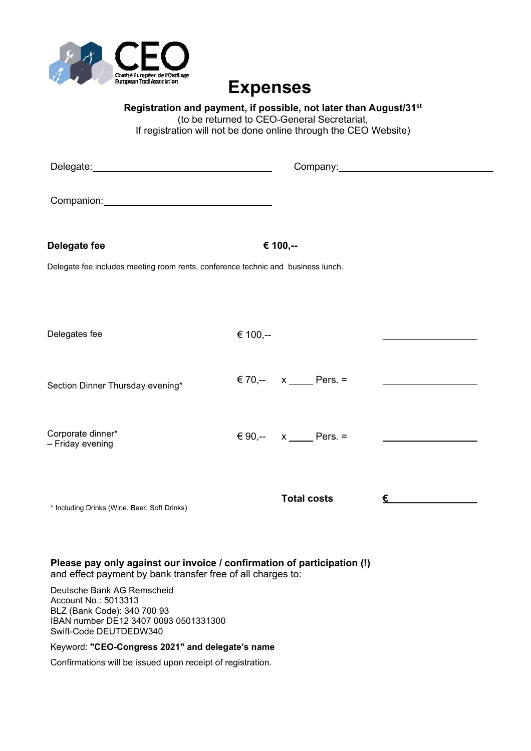

## **Expenses**

**Registration and payment, if possible, not later than August/31st** (to be returned to CEO-General Secretariat, If registration will not be done online through the CEO Website)

| Delegate: <u>contract and a series of the series of the series of the series of the series of the series of the series of the series of the series of the series of the series of the series of the series of the series of the </u> |          |                     | Company: Company: |
|--------------------------------------------------------------------------------------------------------------------------------------------------------------------------------------------------------------------------------------|----------|---------------------|-------------------|
| Companion: Companion:                                                                                                                                                                                                                |          |                     |                   |
| Delegate fee                                                                                                                                                                                                                         |          | € 100,--            |                   |
| Delegate fee includes meeting room rents, conference technic and business lunch.                                                                                                                                                     |          |                     |                   |
|                                                                                                                                                                                                                                      |          |                     |                   |
| Delegates fee                                                                                                                                                                                                                        | € 100,-- |                     |                   |
| Section Dinner Thursday evening*                                                                                                                                                                                                     |          | € 70,-- $x$ Pers. = |                   |
| Corporate dinner*<br>- Friday evening                                                                                                                                                                                                |          | € 90,-- $x$ Pers. = |                   |
| * Including Drinks (Wine, Beer, Soft Drinks)                                                                                                                                                                                         |          | <b>Total costs</b>  | €                 |

**Please pay only against our invoice / confirmation of participation (!)**  and effect payment by bank transfer free of all charges to:

Deutsche Bank AG Remscheid Account No.: 5013313 BLZ (Bank Code): 340 700 93 IBAN number DE12 3407 0093 0501331300 Swift-Code DEUTDEDW340

#### Keyword: **"CEO-Congress 2021" and delegate's name**

Confirmations will be issued upon receipt of registration.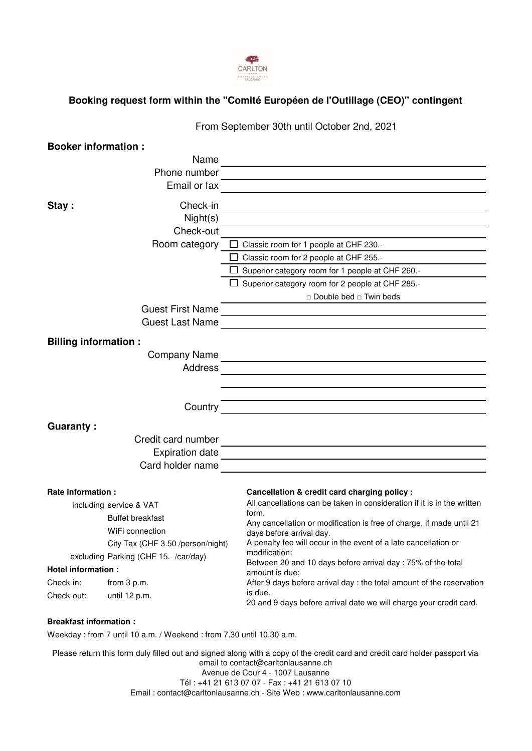

### **Booking request form within the "Comité Européen de l'Outillage (CEO)" contingent**

|                                                                     | From September 30th until October 2nd, 2021                                                                                                                                                                                    |
|---------------------------------------------------------------------|--------------------------------------------------------------------------------------------------------------------------------------------------------------------------------------------------------------------------------|
| <b>Booker information:</b>                                          |                                                                                                                                                                                                                                |
| Name                                                                |                                                                                                                                                                                                                                |
|                                                                     |                                                                                                                                                                                                                                |
| Email or fax                                                        | <u> 1980 - Andrea Andrew Maria (h. 1980).</u>                                                                                                                                                                                  |
| Check-in<br>Stay:                                                   |                                                                                                                                                                                                                                |
|                                                                     |                                                                                                                                                                                                                                |
| Check-out                                                           | $\textsf{Night}(s)$                                                                                                                                                                                                            |
|                                                                     | Room category $\Box$ Classic room for 1 people at CHF 230.-                                                                                                                                                                    |
|                                                                     | $\Box$ Classic room for 2 people at CHF 255.-                                                                                                                                                                                  |
|                                                                     | $\Box$ Superior category room for 1 people at CHF 260.-                                                                                                                                                                        |
|                                                                     | $\Box$ Superior category room for 2 people at CHF 285.-                                                                                                                                                                        |
|                                                                     | □ Double bed □ Twin beds                                                                                                                                                                                                       |
|                                                                     | Guest First Name                                                                                                                                                                                                               |
| <b>Guest Last Name</b>                                              |                                                                                                                                                                                                                                |
| <b>Billing information:</b>                                         |                                                                                                                                                                                                                                |
|                                                                     | Company Name experience and the company Name of the contract of the contract of the contract of the contract of the contract of the contract of the contract of the contract of the contract of the contract of the contract o |
| Address                                                             |                                                                                                                                                                                                                                |
|                                                                     |                                                                                                                                                                                                                                |
|                                                                     |                                                                                                                                                                                                                                |
|                                                                     |                                                                                                                                                                                                                                |
| <b>Guaranty:</b>                                                    |                                                                                                                                                                                                                                |
|                                                                     |                                                                                                                                                                                                                                |
|                                                                     |                                                                                                                                                                                                                                |
|                                                                     | Card holder name                                                                                                                                                                                                               |
|                                                                     |                                                                                                                                                                                                                                |
| Rate information:                                                   | Cancellation & credit card charging policy :                                                                                                                                                                                   |
| including service & VAT                                             | All cancellations can be taken in consideration if it is in the written                                                                                                                                                        |
| <b>Buffet breakfast</b>                                             | form.<br>Any cancellation or modification is free of charge, if made until 21                                                                                                                                                  |
| WiFi connection                                                     | days before arrival day.                                                                                                                                                                                                       |
| City Tax (CHF 3.50 /person/night)                                   | A penalty fee will occur in the event of a late cancellation or<br>modification:                                                                                                                                               |
| excluding Parking (CHF 15.-/car/day)                                | Between 20 and 10 days before arrival day: 75% of the total                                                                                                                                                                    |
| Hotel information :                                                 | amount is due;                                                                                                                                                                                                                 |
| Check-in:<br>from 3 p.m.                                            | After 9 days before arrival day: the total amount of the reservation<br>is due.                                                                                                                                                |
| Check-out:<br>until 12 p.m.                                         | 20 and 9 days before arrival date we will charge your credit card.                                                                                                                                                             |
| <b>Breakfast information:</b>                                       |                                                                                                                                                                                                                                |
| Weekday: from 7 until 10 a.m. / Weekend: from 7.30 until 10.30 a.m. |                                                                                                                                                                                                                                |

Please return this form duly filled out and signed along with a copy of the credit card and credit card holder passport via email to contact@carltonlausanne.ch Avenue de Cour 4 - 1007 Lausanne Tél : +41 21 613 07 07 - Fax : +41 21 613 07 10

Email : contact@carltonlausanne.ch - Site Web : www.carltonlausanne.com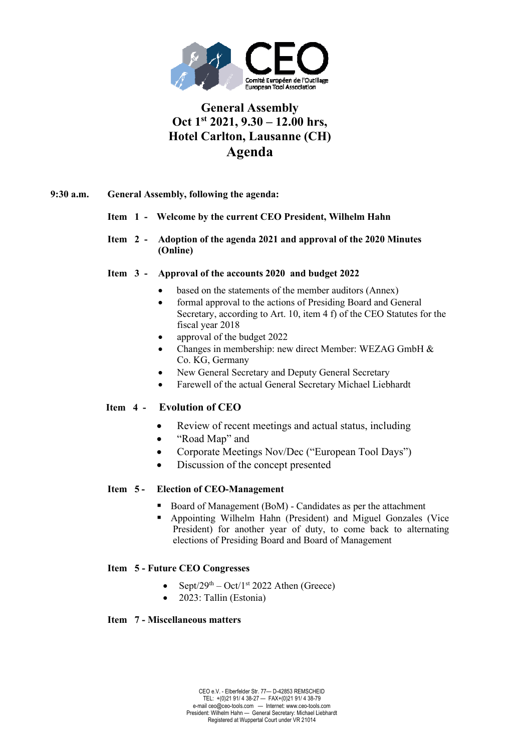

## **General Assembly Oct 1st 2021, 9.30 – 12.00 hrs, Hotel Carlton, Lausanne (CH) Agenda**

#### **9:30 a.m. General Assembly, following the agenda:**

#### **Item 1 - Welcome by the current CEO President, Wilhelm Hahn**

**Item 2 - Adoption of the agenda 2021 and approval of the 2020 Minutes (Online)** 

#### **Item 3 - Approval of the accounts 2020 and budget 2022**

- based on the statements of the member auditors (Annex)
- formal approval to the actions of Presiding Board and General Secretary, according to Art. 10, item 4 f) of the CEO Statutes for the fiscal year 2018
- approval of the budget 2022
- Changes in membership: new direct Member: WEZAG GmbH & Co. KG, Germany
- New General Secretary and Deputy General Secretary
- Farewell of the actual General Secretary Michael Liebhardt

#### **Item 4 - Evolution of CEO**

- Review of recent meetings and actual status, including
- "Road Map" and
- Corporate Meetings Nov/Dec ("European Tool Days")
- Discussion of the concept presented

#### **Item 5 - Election of CEO-Management**

- Board of Management (BoM) Candidates as per the attachment
- Appointing Wilhelm Hahn (President) and Miguel Gonzales (Vice President) for another year of duty, to come back to alternating elections of Presiding Board and Board of Management

#### **Item 5 - Future CEO Congresses**

- Sept/29<sup>th</sup> Oct/1<sup>st</sup> 2022 Athen (Greece)
- 2023: Tallin (Estonia)

#### **Item 7 - Miscellaneous matters**